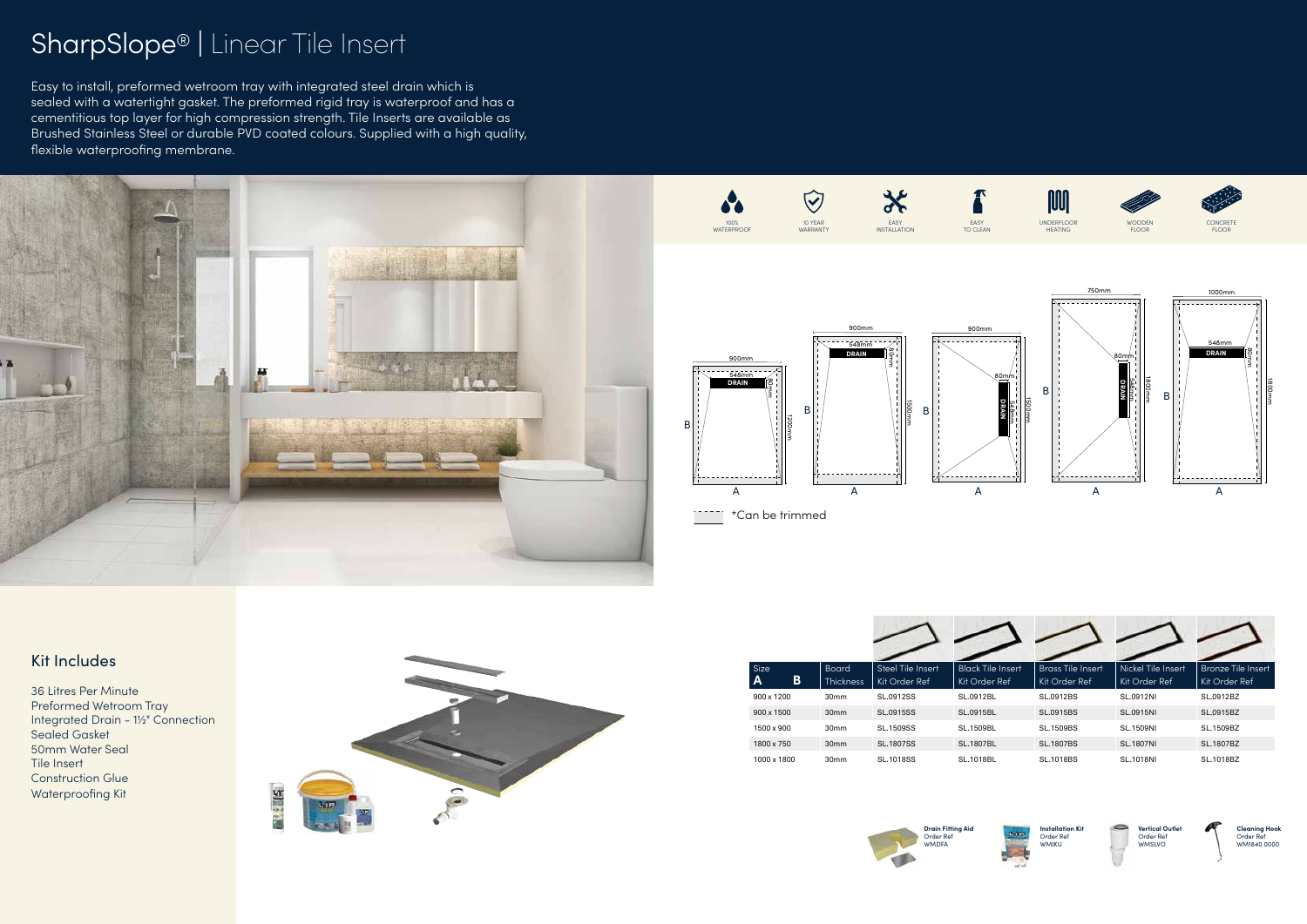## Kit Includes

36 Litres Per Minute Preformed Wetroom Tray Integrated Drain - 1½" Connection Sealed Gasket 50mm Water Seal Tile Insert Construction Glue Waterproofing Kit



## SharpSlope® | Linear Tile Insert

Easy to install, preformed wetroom tray with integrated steel drain which is sealed with a watertight gasket. The preformed rigid tray is waterproof and has a cementitious top layer for high compression strength. Tile Inserts are available as Brushed Stainless Steel or durable PVD coated colours. Supplied with a high quality, flexible waterproofing membrane.

| Size<br>B<br>A | <b>Board</b><br><b>Thickness</b> | Steel Tile Insert<br>Kit Order Ref | <b>Black Tile Insert</b><br>Kit Order Ref | <b>Brass Tile Insert</b><br>Kit Order Ref | Nickel Tile Insert<br>Kit Order Ref | <b>Bronze Tile Insert</b><br>Kit Order Ref |
|----------------|----------------------------------|------------------------------------|-------------------------------------------|-------------------------------------------|-------------------------------------|--------------------------------------------|
| 900 x 1200     | 30 <sub>mm</sub>                 | SL.0912SS                          | SL.0912BL                                 | SL.0912BS                                 | <b>SL.0912NI</b>                    | SL.0912BZ                                  |
| 900 x 1500     | 30 <sub>mm</sub>                 | <b>SL.0915SS</b>                   | SL.0915BL                                 | <b>SL.0915BS</b>                          | <b>SL.0915NI</b>                    | SL.0915BZ                                  |
| 1500 x 900     | 30 <sub>mm</sub>                 | <b>SL.1509SS</b>                   | <b>SL.1509BL</b>                          | <b>SL.1509BS</b>                          | <b>SL.1509NI</b>                    | SL.1509BZ                                  |
| 1800 x 750     | 30 <sub>mm</sub>                 | <b>SL.1807SS</b>                   | <b>SL.1807BL</b>                          | <b>SL.1807BS</b>                          | <b>SL.1807NI</b>                    | SL.1807BZ                                  |
| 1000 x 1800    | 30mm                             | <b>SL.1018SS</b>                   | <b>SL.1018BL</b>                          | <b>SL.1018BS</b>                          | <b>SL.1018NI</b>                    | SL.1018BZ                                  |





**Installation Kit** Order Ref WMIKU



**Vertical Outlet** Order Ref WMSLVO



**Cleaning Hook** Order Ref WM1840.0000